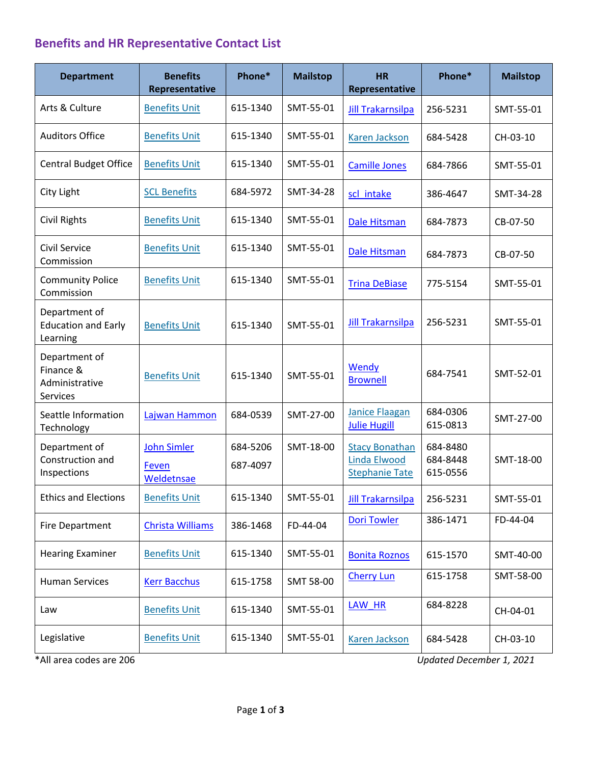## **Benefits and HR Representative Contact List**

| <b>Department</b>                                        | <b>Benefits</b><br>Representative  | Phone*               | <b>Mailstop</b> | HR<br>Representative                                           | Phone*                           | <b>Mailstop</b> |
|----------------------------------------------------------|------------------------------------|----------------------|-----------------|----------------------------------------------------------------|----------------------------------|-----------------|
| Arts & Culture                                           | <b>Benefits Unit</b>               | 615-1340             | SMT-55-01       | <b>Jill Trakarnsilpa</b>                                       | 256-5231                         | SMT-55-01       |
| <b>Auditors Office</b>                                   | <b>Benefits Unit</b>               | 615-1340             | SMT-55-01       | Karen Jackson                                                  | 684-5428                         | CH-03-10        |
| <b>Central Budget Office</b>                             | <b>Benefits Unit</b>               | 615-1340             | SMT-55-01       | <b>Camille Jones</b>                                           | 684-7866                         | SMT-55-01       |
| City Light                                               | <b>SCL Benefits</b>                | 684-5972             | SMT-34-28       | scl intake                                                     | 386-4647                         | SMT-34-28       |
| <b>Civil Rights</b>                                      | <b>Benefits Unit</b>               | 615-1340             | SMT-55-01       | Dale Hitsman                                                   | 684-7873                         | CB-07-50        |
| Civil Service<br>Commission                              | <b>Benefits Unit</b>               | 615-1340             | SMT-55-01       | <b>Dale Hitsman</b>                                            | 684-7873                         | CB-07-50        |
| <b>Community Police</b><br>Commission                    | <b>Benefits Unit</b>               | 615-1340             | SMT-55-01       | <b>Trina DeBiase</b>                                           | 775-5154                         | SMT-55-01       |
| Department of<br><b>Education and Early</b><br>Learning  | <b>Benefits Unit</b>               | 615-1340             | SMT-55-01       | <b>Jill Trakarnsilpa</b>                                       | 256-5231                         | SMT-55-01       |
| Department of<br>Finance &<br>Administrative<br>Services | <b>Benefits Unit</b>               | 615-1340             | SMT-55-01       | <b>Wendy</b><br><b>Brownell</b>                                | 684-7541                         | SMT-52-01       |
| Seattle Information<br>Technology                        | Lajwan Hammon                      | 684-0539             | SMT-27-00       | <b>Janice Flaagan</b><br><b>Julie Hugill</b>                   | 684-0306<br>615-0813             | SMT-27-00       |
| Department of<br>Construction and<br>Inspections         | John Simler<br>Feven<br>Weldetnsae | 684-5206<br>687-4097 | SMT-18-00       | <b>Stacy Bonathan</b><br>Linda Elwood<br><b>Stephanie Tate</b> | 684-8480<br>684-8448<br>615-0556 | SMT-18-00       |
| <b>Ethics and Elections</b>                              | <b>Benefits Unit</b>               | 615-1340             | SMT-55-01       | <b>Jill Trakarnsilpa</b>                                       | 256-5231                         | SMT-55-01       |
| Fire Department                                          | Christa Williams                   | 386-1468             | FD-44-04        | <b>Dori Towler</b>                                             | 386-1471                         | FD-44-04        |
| <b>Hearing Examiner</b>                                  | <b>Benefits Unit</b>               | 615-1340             | SMT-55-01       | <b>Bonita Roznos</b>                                           | 615-1570                         | SMT-40-00       |
| <b>Human Services</b>                                    | <b>Kerr Bacchus</b>                | 615-1758             | SMT 58-00       | <b>Cherry Lun</b>                                              | 615-1758                         | SMT-58-00       |
| Law                                                      | <b>Benefits Unit</b>               | 615-1340             | SMT-55-01       | LAW_HR                                                         | 684-8228                         | CH-04-01        |
| Legislative                                              | <b>Benefits Unit</b>               | 615-1340             | SMT-55-01       | <b>Karen Jackson</b>                                           | 684-5428                         | CH-03-10        |

\*All area codes are 206 *Updated December 1, 2021*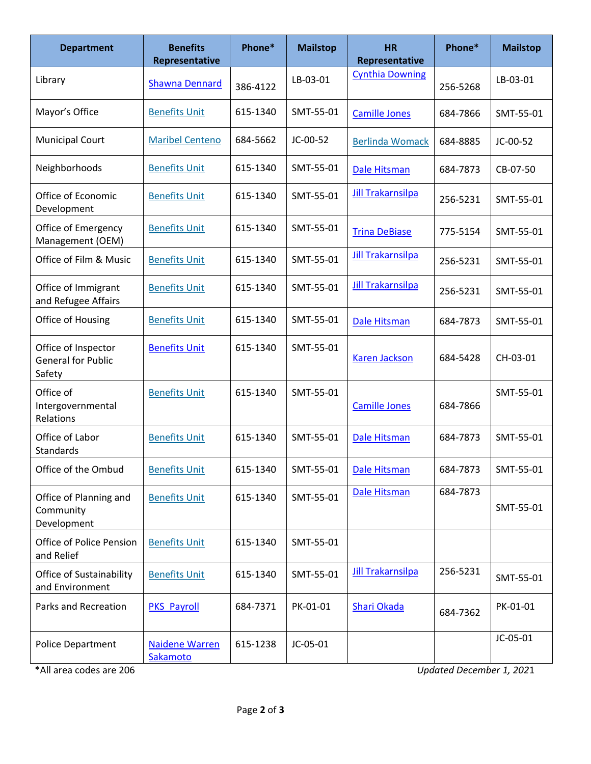| <b>Department</b>                                          | <b>Benefits</b><br>Representative | Phone*   | <b>Mailstop</b> | <b>HR</b><br>Representative | Phone*   | <b>Mailstop</b> |
|------------------------------------------------------------|-----------------------------------|----------|-----------------|-----------------------------|----------|-----------------|
| Library                                                    | <b>Shawna Dennard</b>             | 386-4122 | LB-03-01        | <b>Cynthia Downing</b>      | 256-5268 | LB-03-01        |
| Mayor's Office                                             | <b>Benefits Unit</b>              | 615-1340 | SMT-55-01       | <b>Camille Jones</b>        | 684-7866 | SMT-55-01       |
| <b>Municipal Court</b>                                     | <b>Maribel Centeno</b>            | 684-5662 | JC-00-52        | <b>Berlinda Womack</b>      | 684-8885 | JC-00-52        |
| Neighborhoods                                              | <b>Benefits Unit</b>              | 615-1340 | SMT-55-01       | Dale Hitsman                | 684-7873 | CB-07-50        |
| Office of Economic<br>Development                          | <b>Benefits Unit</b>              | 615-1340 | SMT-55-01       | <b>Jill Trakarnsilpa</b>    | 256-5231 | SMT-55-01       |
| Office of Emergency<br>Management (OEM)                    | <b>Benefits Unit</b>              | 615-1340 | SMT-55-01       | <b>Trina DeBiase</b>        | 775-5154 | SMT-55-01       |
| Office of Film & Music                                     | <b>Benefits Unit</b>              | 615-1340 | SMT-55-01       | <b>Jill Trakarnsilpa</b>    | 256-5231 | SMT-55-01       |
| Office of Immigrant<br>and Refugee Affairs                 | <b>Benefits Unit</b>              | 615-1340 | SMT-55-01       | <b>Jill Trakarnsilpa</b>    | 256-5231 | SMT-55-01       |
| Office of Housing                                          | <b>Benefits Unit</b>              | 615-1340 | SMT-55-01       | Dale Hitsman                | 684-7873 | SMT-55-01       |
| Office of Inspector<br><b>General for Public</b><br>Safety | <b>Benefits Unit</b>              | 615-1340 | SMT-55-01       | <b>Karen Jackson</b>        | 684-5428 | CH-03-01        |
| Office of<br>Intergovernmental<br>Relations                | <b>Benefits Unit</b>              | 615-1340 | SMT-55-01       | <b>Camille Jones</b>        | 684-7866 | SMT-55-01       |
| Office of Labor<br>Standards                               | <b>Benefits Unit</b>              | 615-1340 | SMT-55-01       | <b>Dale Hitsman</b>         | 684-7873 | SMT-55-01       |
| Office of the Ombud                                        | <b>Benefits Unit</b>              | 615-1340 | SMT-55-01       | Dale Hitsman                | 684-7873 | SMT-55-01       |
| Office of Planning and<br>Community<br>Development         | <b>Benefits Unit</b>              | 615-1340 | SMT-55-01       | Dale Hitsman                | 684-7873 | SMT-55-01       |
| <b>Office of Police Pension</b><br>and Relief              | <b>Benefits Unit</b>              | 615-1340 | SMT-55-01       |                             |          |                 |
| Office of Sustainability<br>and Environment                | <b>Benefits Unit</b>              | 615-1340 | SMT-55-01       | <b>Jill Trakarnsilpa</b>    | 256-5231 | SMT-55-01       |
| Parks and Recreation                                       | <b>PKS_Payroll</b>                | 684-7371 | PK-01-01        | <b>Shari Okada</b>          | 684-7362 | PK-01-01        |
| <b>Police Department</b>                                   | <b>Naidene Warren</b><br>Sakamoto | 615-1238 | JC-05-01        |                             |          | JC-05-01        |

\*All area codes are 206 *Updated December 1, 202*1